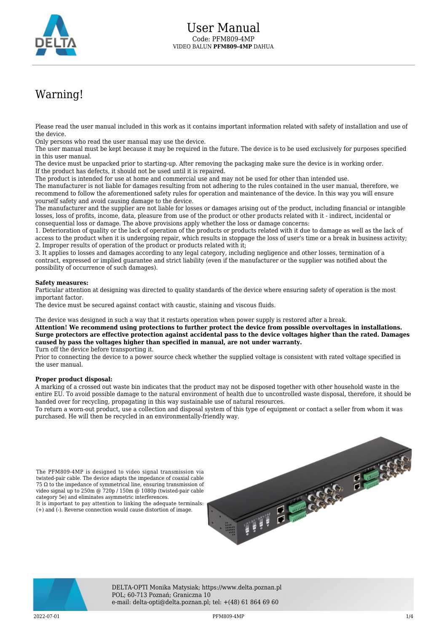

## Warning!

Please read the user manual included in this work as it contains important information related with safety of installation and use of the device.

Only persons who read the user manual may use the device.

The user manual must be kept because it may be required in the future. The device is to be used exclusively for purposes specified in this user manual.

The device must be unpacked prior to starting-up. After removing the packaging make sure the device is in working order. If the product has defects, it should not be used until it is repaired.

The product is intended for use at home and commercial use and may not be used for other than intended use.

The manufacturer is not liable for damages resulting from not adhering to the rules contained in the user manual, therefore, we recommend to follow the aforementioned safety rules for operation and maintenance of the device. In this way you will ensure yourself safety and avoid causing damage to the device.

The manufacturer and the supplier are not liable for losses or damages arising out of the product, including financial or intangible losses, loss of profits, income, data, pleasure from use of the product or other products related with it - indirect, incidental or consequential loss or damage. The above provisions apply whether the loss or damage concerns:

1. Deterioration of quality or the lack of operation of the products or products related with it due to damage as well as the lack of access to the product when it is undergoing repair, which results in stoppage the loss of user's time or a break in business activity; 2. Improper results of operation of the product or products related with it;

3. It applies to losses and damages according to any legal category, including negligence and other losses, termination of a contract, expressed or implied guarantee and strict liability (even if the manufacturer or the supplier was notified about the possibility of occurrence of such damages).

## **Safety measures:**

Particular attention at designing was directed to quality standards of the device where ensuring safety of operation is the most important factor.

The device must be secured against contact with caustic, staining and viscous fluids.

The device was designed in such a way that it restarts operation when power supply is restored after a break.

**Attention! We recommend using protections to further protect the device from possible overvoltages in installations. Surge protectors are effective protection against accidental pass to the device voltages higher than the rated. Damages caused by pass the voltages higher than specified in manual, are not under warranty.**

Turn off the device before transporting it.

Prior to connecting the device to a power source check whether the supplied voltage is consistent with rated voltage specified in the user manual.

## **Proper product disposal:**

A marking of a crossed out waste bin indicates that the product may not be disposed together with other household waste in the entire EU. To avoid possible damage to the natural environment of health due to uncontrolled waste disposal, therefore, it should be handed over for recycling, propagating in this way sustainable use of natural resources.

To return a worn-out product, use a collection and disposal system of this type of equipment or contact a seller from whom it was purchased. He will then be recycled in an environmentally-friendly way.

The PFM809-4MP is designed to video signal transmission via twisted-pair cable. The device adapts the impedance of coaxial cable 75 Ω to the impedance of symmetrical line, ensuring transmission of video signal up to 250m @ 720p / 150m @ 1080p (twisted-pair cable category 5e) and eliminates asymmetric interferences. It is important to pay attention to linking the adequate terminals: (+) and (-). Reverse connection would cause distortion of image.





DELTA-OPTI Monika Matysiak; https://www.delta.poznan.pl POL; 60-713 Poznań; Graniczna 10 e-mail: delta-opti@delta.poznan.pl; tel: +(48) 61 864 69 60

2022-07-01 PFM809-4MP 1/4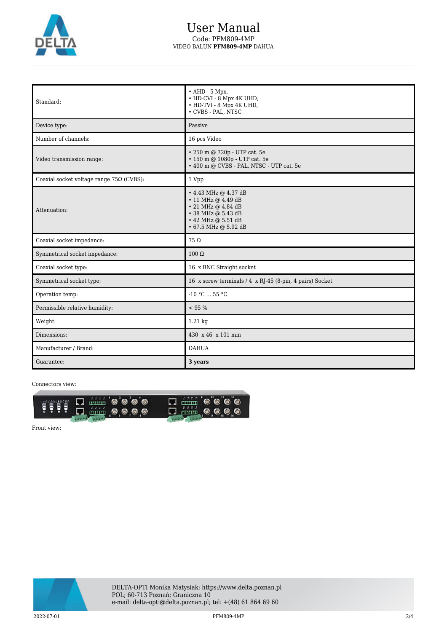

## User Manual Code: PFM809-4MP VIDEO BALUN **PFM809-4MP** DAHUA

| Standard:                                       | $\bullet$ AHD - 5 Mpx,<br>• HD-CVI - 8 Mpx 4K UHD,<br>• HD-TVI - 8 Mpx 4K UHD,<br>• CVBS - PAL, NTSC                                             |
|-------------------------------------------------|--------------------------------------------------------------------------------------------------------------------------------------------------|
| Device type:                                    | Passive                                                                                                                                          |
| Number of channels:                             | 16 pcs Video                                                                                                                                     |
| Video transmission range:                       | • 250 m @ 720p - UTP cat. 5e<br>• 150 m @ 1080p - UTP cat. 5e<br>• 400 m @ CVBS - PAL, NTSC - UTP cat. 5e                                        |
| Coaxial socket voltage range $75\Omega$ (CVBS): | 1 Vpp                                                                                                                                            |
| Attenuation:                                    | $\cdot$ 4.43 MHz @ 4.37 dB<br>• 11 MHz @ 4.49 dB<br>• 21 MHz @ 4.84 dB<br>• 38 MHz @ 5.43 dB<br>• 42 MHz @ 5.51 dB<br>$\cdot$ 67.5 MHz @ 5.92 dB |
| Coaxial socket impedance:                       | $75\Omega$                                                                                                                                       |
| Symmetrical socket impedance:                   | $100 \Omega$                                                                                                                                     |
| Coaxial socket type:                            | 16 x BNC Straight socket                                                                                                                         |
| Symmetrical socket type:                        | 16 x screw terminals / 4 x RJ-45 (8-pin, 4 pairs) Socket                                                                                         |
| Operation temp:                                 | $-10 °C$ 55 °C                                                                                                                                   |
| Permissible relative humidity:                  | < 95 %                                                                                                                                           |
| Weight:                                         | 1.21 kg                                                                                                                                          |
| Dimensions:                                     | 430 x 46 x 101 mm                                                                                                                                |
| Manufacturer / Brand:                           | <b>DAHUA</b>                                                                                                                                     |
| Guarantee:                                      | 3 years                                                                                                                                          |

Connectors view:



Front view:

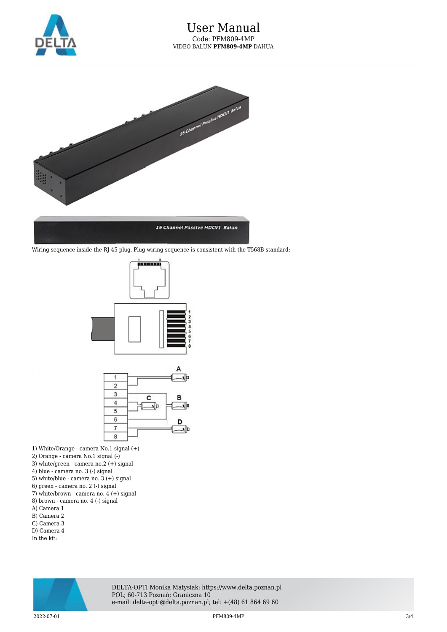



Wiring sequence inside the RJ-45 plug. Plug wiring sequence is consistent with the T568B standard:





- 1) White/Orange camera No.1 signal (+)
- 2) Orange camera No.1 signal (-)
- 3) white/green camera no.2 (+) signal
- 4) blue camera no. 3 (-) signal
- 5) white/blue camera no. 3 (+) signal
- 6) green camera no. 2 (-) signal
- 7) white/brown camera no. 4 (+) signal
- 8) brown camera no. 4 (-) signal
- A) Camera 1
- B) Camera 2 C) Camera 3
- D) Camera 4
- In the kit:



DELTA-OPTI Monika Matysiak; https://www.delta.poznan.pl POL; 60-713 Poznań; Graniczna 10 e-mail: delta-opti@delta.poznan.pl; tel: +(48) 61 864 69 60

 $2022$ -07-01  $3/4$